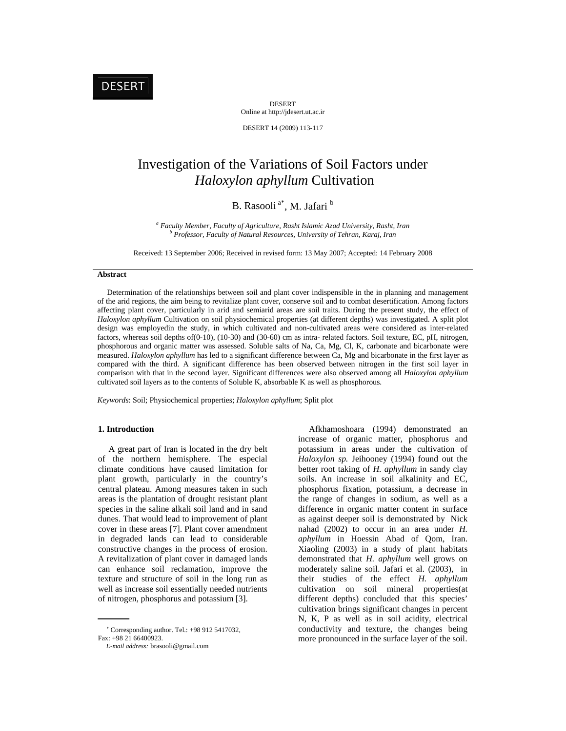# DESERT

DESERT Online at http://jdesert.ut.ac.ir

DESERT 14 (2009) 113-117

# Investigation of the Variations of Soil Factors under *Haloxylon aphyllum* Cultivation

# B. Rasooli<sup>a\*</sup>, M. Jafari b

<sup>a</sup> Faculty Member, Faculty of Agriculture, Rasht Islamic Azad University, Rasht, Iran *b*<br>*b* Brofesson, Faculty of Natural Bessuesse, University of Tehnan, Kanai, Iran  *Professor, Faculty of Natural Resources, University of Tehran, Karaj, Iran*

Received: 13 September 2006; Received in revised form: 13 May 2007; Accepted: 14 February 2008

#### **Abstract**

 Determination of the relationships between soil and plant cover indispensible in the in planning and management of the arid regions, the aim being to revitalize plant cover, conserve soil and to combat desertification. Among factors affecting plant cover, particularly in arid and semiarid areas are soil traits. During the present study, the effect of *Haloxylon aphyllum* Cultivation on soil physiochemical properties (at different depths) was investigated. A split plot design was employedin the study, in which cultivated and non-cultivated areas were considered as inter-related factors, whereas soil depths of(0-10), (10-30) and (30-60) cm as intra- related factors. Soil texture, EC, pH, nitrogen, phosphorous and organic matter was assessed. Soluble salts of Na, Ca, Mg, Cl, K, carbonate and bicarbonate were measured. *Haloxylon aphyllum* has led to a significant difference between Ca, Mg and bicarbonate in the first layer as compared with the third. A significant difference has been observed between nitrogen in the first soil layer in comparison with that in the second layer. Significant differences were also observed among all *Haloxylon aphyllum* cultivated soil layers as to the contents of Soluble K, absorbable K as well as phosphorous.

*Keywords*: Soil; Physiochemical properties; *Haloxylon aphyllum*; Split plot

## **1. Introduction**

 A great part of Iran is located in the dry belt of the northern hemisphere. The especial climate conditions have caused limitation for plant growth, particularly in the country's central plateau. Among measures taken in such areas is the plantation of drought resistant plant species in the saline alkali soil land and in sand dunes. That would lead to improvement of plant cover in these areas [7]. Plant cover amendment in degraded lands can lead to considerable constructive changes in the process of erosion. A revitalization of plant cover in damaged lands can enhance soil reclamation, improve the texture and structure of soil in the long run as well as increase soil essentially needed nutrients of nitrogen, phosphorus and potassium [3].

 Afkhamoshoara (1994) demonstrated an increase of organic matter, phosphorus and potassium in areas under the cultivation of *Haloxylon sp.* Jeihooney (1994) found out the better root taking of *H. aphyllum* in sandy clay soils. An increase in soil alkalinity and EC, phosphorus fixation, potassium, a decrease in the range of changes in sodium, as well as a difference in organic matter content in surface as against deeper soil is demonstrated by Nick nahad (2002) to occur in an area under *H. aphyllum* in Hoessin Abad of Qom, Iran. Xiaoling (2003) in a study of plant habitats demonstrated that *H. aphyllum* well grows on moderately saline soil. Jafari et al. (2003), in their studies of the effect *H. aphyllum* cultivation on soil mineral properties(at different depths) concluded that this species' cultivation brings significant changes in percent N, K, P as well as in soil acidity, electrical conductivity and texture, the changes being more pronounced in the surface layer of the soil.

 $\sim$  Corresponding author. Tel.: +98 912 5417032, Fax: +98 21 66400923.

*E-mail address:* brasooli@gmail.com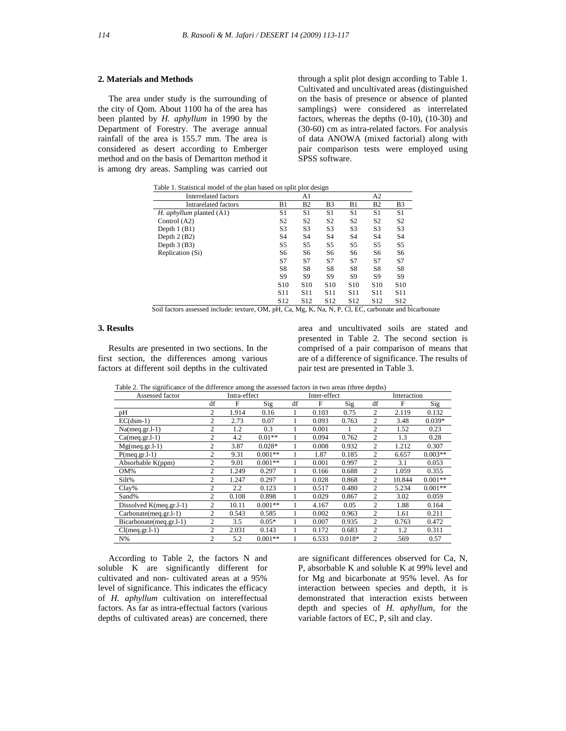### **2. Materials and Methods**

 The area under study is the surrounding of the city of Qom. About 1100 ha of the area has been planted by *H. aphyllum* in 1990 by the Department of Forestry. The average annual rainfall of the area is 155.7 mm. The area is considered as desert according to Emberger method and on the basis of Demartton method it is among dry areas. Sampling was carried out through a split plot design according to Table 1. Cultivated and uncultivated areas (distinguished on the basis of presence or absence of planted samplings) were considered as interrelated factors, whereas the depths (0-10), (10-30) and (30-60) cm as intra-related factors. For analysis of data ANOWA (mixed factorial) along with pair comparison tests were employed using SPSS software.

Table 1. Statistical model of the plan based on split plot design

| Interrelated factors            |                 | A1              |                 |                 | A <sub>2</sub>  |                 |
|---------------------------------|-----------------|-----------------|-----------------|-----------------|-----------------|-----------------|
| Intrarelated factors            | B1              | B <sub>2</sub>  | B <sub>3</sub>  | B1              | B <sub>2</sub>  | B <sub>3</sub>  |
| H. <i>aphyllum</i> planted (A1) | S1              | S1              | S1              | S1              | S1              | S1              |
| Control $(A2)$                  | S <sub>2</sub>  | S <sub>2</sub>  | S <sub>2</sub>  | S <sub>2</sub>  | S <sub>2</sub>  | S <sub>2</sub>  |
| Depth $1$ (B1)                  | S3              | S3              | S3              | S <sub>3</sub>  | S <sub>3</sub>  | S3              |
| Depth $2(B2)$                   | S <sub>4</sub>  | S <sub>4</sub>  | S <sub>4</sub>  | S <sub>4</sub>  | S <sub>4</sub>  | S4              |
| Depth $3(B3)$                   | S <sub>5</sub>  | S5              | S5              | S5              | S5              | S5              |
| Replication (Si)                | S6              | S6              | S6              | S6              | S6              | S6              |
|                                 | S7              | S7              | S7              | S7              | S7              | S7              |
|                                 | S8              | S8              | S8              | S8              | S8              | S8              |
|                                 | S9              | S9              | S9              | S <sub>9</sub>  | S <sub>9</sub>  | S9              |
|                                 | S <sub>10</sub> | S <sub>10</sub> | S <sub>10</sub> | S <sub>10</sub> | S <sub>10</sub> | S <sub>10</sub> |
|                                 | S <sub>11</sub> | S <sub>11</sub> | S <sub>11</sub> | S11             | S <sub>11</sub> | S <sub>11</sub> |
|                                 | S <sub>12</sub> | S <sub>12</sub> | S <sub>12</sub> | S <sub>12</sub> | S <sub>12</sub> | S <sub>12</sub> |

Soil factors assessed include: texture, OM, pH, Ca, Mg, K, Na, N, P, Cl, EC, carbonate and bicarbonate

#### **3. Results**

 Results are presented in two sections. In the first section, the differences among various factors at different soil depths in the cultivated area and uncultivated soils are stated and presented in Table 2. The second section is comprised of a pair comparison of means that are of a difference of significance. The results of pair test are presented in Table 3.

 Table 2. The significance of the difference among the assessed factors in two areas (three depths) Assessed factor Intra-effect Interaction Intra-effect Interaction df F Sig df F Sig df F Sig pH 2 1.914 0.16 1 0.103 0.75 2 2.119 0.132 EC(dsm-1) 2 2.73 0.07 1 0.093 0.763 2 3.48 0.039\* Na(meg.gr.1-1) 2 1.2 0.3 1 0.001 1 2 1.52 0.23 Ca(meq.gr.l-1) 2 4.2 0.01\*\* 1 0.094 0.762 2 1.3 0.28 Mg(meq.gr.l-1) 2 3.87 0.028\* 1 0.008 0.932 2 1.212 0.307 P(meq.gr.l-1) 2 9.31 0.001<sup>\*\*</sup> 1 1.87 0.185 2 6.657 0.003<sup>\*\*</sup> Absorbable K(ppm)  $\begin{array}{cccccc} 2 & 9.01 & 0.001^{**} & 1 & 0.001 & 0.997 & 2 & 3.1 & 0.053 \\ \hline 0.00\% & 2 & 1.249 & 0.297 & 1 & 0.166 & 0.688 & 2 & 1.059 & 0.355 \end{array}$ OM% 2 1.249 0.297 1 0.166 0.688 2 1.059 0.355 Silt% 2 1.247 0.297 1 0.028 0.868 2 10.844 0.001<sup>\*\*</sup> Clay% 2 2.2 0.123 1 0.517 0.480 2 5.234 0.001\*\* Sand% 2 0.108 0.898 1 0.029 0.867 2 3.02 0.059 Dissolved K(meq.gr.l-1) 2 10.11 0.001\*\* 1 4.167 0.05 2 1.88 0.164 Carbonate(meq.gr.l-1) 2 0.543 0.585 1 0.002 0.963 2 1.61 0.211 Bicarbonate(meq.gr.l-1) 2 3.5 0.05\* 1 0.007 0.935 2 0.763 0.472<br>Cl(meq.gr.l-1) 2 2.031 0.143 1 0.172 0.683 2 1.2 0.311 Cl(meq.gr.l-1) 2 2.031 0.143 1 0.172 0.683 2 1.2 0.311 N% 2 5.2 0.001\*\* 1 6.533 0.018\* 2 .569 0.57

 According to Table 2, the factors N and soluble K are significantly different for cultivated and non- cultivated areas at a 95% level of significance. This indicates the efficacy of *H. aphyllum* cultivation on intereffectual factors. As far as intra-effectual factors (various depths of cultivated areas) are concerned, there

are significant differences observed for Ca, N, P, absorbable K and soluble K at 99% level and for Mg and bicarbonate at 95% level. As for interaction between species and depth, it is demonstrated that interaction exists between depth and species of *H. aphyllum*, for the variable factors of EC, P, silt and clay.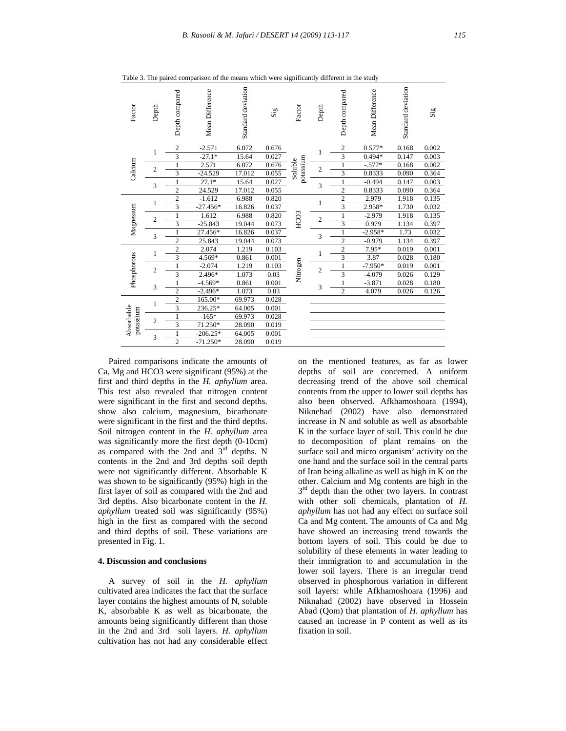| Factor                  | Depth          | Depth compared | Mean Difference | Standard deviation | $\mathrm{Si}\mathrm{g}$ | Factor               | Depth          | Depth compared          | Mean Difference | Standard deviation | $\mathbf{Sig}$ |
|-------------------------|----------------|----------------|-----------------|--------------------|-------------------------|----------------------|----------------|-------------------------|-----------------|--------------------|----------------|
| Calcium                 | 1              | $\sqrt{2}$     | $-2.571$        | 6.072              | 0.676                   |                      | 1              | $\sqrt{2}$              | $0.577*$        | 0.168              | 0.002          |
|                         |                | $\overline{3}$ | $-27.1*$        | 15.64              | 0.027                   |                      |                | $\overline{3}$          | $0.494*$        | 0.147              | 0.003          |
|                         | $\overline{2}$ |                | 2.571           | 6.072              | 0.676                   | potassium<br>Soluble | $\overline{c}$ |                         | $-.577*$        | 0.168              | 0.002          |
|                         |                | 3              | $-24.529$       | 17.012             | 0.055                   |                      |                | 3                       | 0.8333          | 0.090              | 0.364          |
|                         | 3              | 1              | $27.1*$         | 15.64              | 0.027                   |                      | 3              | $\mathbf{1}$            | $-0.494$        | 0.147              | 0.003          |
|                         |                | $\overline{2}$ | 24.529          | 17.012             | 0.055                   |                      |                | $\overline{2}$          | 0.8333          | 0.090              | 0.364          |
|                         | 1              | $\overline{c}$ | $-1.612$        | 6.988              | 0.820                   |                      | 1              | $\overline{2}$          | 2.979           | 1.918              | 0.135          |
|                         |                | 3              | $-27.456*$      | 16.826             | 0.037                   |                      |                | $\overline{\mathbf{3}}$ | 2.958*          | 1.730              | 0.032          |
|                         | $\overline{2}$ | 1              | 1.612           | 6.988              | 0.820                   |                      | $\overline{c}$ | $\mathbf{1}$            | $-2.979$        | 1.918              | 0.135          |
| Magnesium               |                | 3              | $-25.843$       | 19.044             | 0.073                   | HCO3                 |                | 3                       | 0.979           | 1.134              | 0.397          |
|                         | 3              | 1              | 27.456*         | 16.826             | 0.037                   |                      | 3              | 1                       | $-2.958*$       | 1.73               | 0.032          |
|                         |                | $\overline{2}$ | 25.843          | 19.044             | 0.073                   |                      |                | $\overline{2}$          | $-0.979$        | 1.134              | 0.397          |
| Phosphorous             | 1              | $\overline{c}$ | 2.074           | 1.219              | 0.103                   | Nitrogen             | 1              | $\overline{c}$          | $7.95*$         | 0.019              | 0.001          |
|                         |                | $\overline{3}$ | 4.569*          | 0.861              | 0.001                   |                      |                | $\overline{\mathbf{3}}$ | 3.87            | 0.028              | 0.180          |
|                         | $\overline{2}$ | 1              | $-2.074$        | 1.219              | 0.103                   |                      | $\overline{2}$ | $\mathbf{1}$            | $-7.950*$       | 0.019              | 0.001          |
|                         |                | 3              | 2.496*          | 1.073              | 0.03                    |                      |                | 3                       | $-4.079$        | 0.026              | 0.129          |
|                         | 3              | 1              | $-4.569*$       | 0.861              | 0.001                   |                      | 3              | 1                       | $-3.871$        | 0.028              | 0.180          |
|                         |                | $\overline{2}$ | $-2.496*$       | 1.073              | 0.03                    |                      |                | $\overline{c}$          | 4.079           | 0.026              | 0.126          |
| Absorbable<br>potassium | 1              | $\overline{c}$ | 165.00*         | 69.973             | 0.028                   |                      |                |                         |                 |                    |                |
|                         |                | 3              | 236.25*         | 64.005             | 0.001                   |                      |                |                         |                 |                    |                |
|                         | $\overline{2}$ | 1              | $-165*$         | 69.973             | 0.028                   |                      |                |                         |                 |                    |                |
|                         |                | 3              | 71.250*         | 28.090             | 0.019                   |                      |                |                         |                 |                    |                |
|                         | 3              | 1              | $-206.25*$      | 64.005             | 0.001                   |                      |                |                         |                 |                    |                |
|                         |                | $\overline{2}$ | $-71.250*$      | 28.090             | 0.019                   |                      |                |                         |                 |                    |                |

Table 3. The paired comparison of the means which were significantly different in the study

 Paired comparisons indicate the amounts of Ca, Mg and HCO3 were significant (95%) at the first and third depths in the *H. aphyllum* area. This test also revealed that nitrogen content were significant in the first and second depths. show also calcium, magnesium, bicarbonate were significant in the first and the third depths. Soil nitrogen content in the *H. aphyllum* area was significantly more the first depth (0-10cm) as compared with the 2nd and  $3<sup>rd</sup>$  depths. N contents in the 2nd and 3rd depths soil depth were not significantly different. Absorbable K was shown to be significantly (95%) high in the first layer of soil as compared with the 2nd and 3rd depths. Also bicarbonate content in the *H. aphyllum* treated soil was significantly (95%) high in the first as compared with the second and third depths of soil. These variations are presented in Fig. 1.

### **4. Discussion and conclusions**

 A survey of soil in the *H. aphyllum* cultivated area indicates the fact that the surface layer contains the highest amounts of N, soluble K, absorbable K as well as bicarbonate, the amounts being significantly different than those in the 2nd and 3rd soli layers. *H. aphyllum* cultivation has not had any considerable effect on the mentioned features, as far as lower depths of soil are concerned. A uniform decreasing trend of the above soil chemical contents from the upper to lower soil depths has also been observed. Afkhamoshoara (1994), Niknehad (2002) have also demonstrated increase in N and soluble as well as absorbable K in the surface layer of soil. This could be due to decomposition of plant remains on the surface soil and micro organism' activity on the one hand and the surface soil in the central parts of Iran being alkaline as well as high in K on the other. Calcium and Mg contents are high in the  $3<sup>rd</sup>$  depth than the other two layers. In contrast with other soli chemicals, plantation of *H. aphyllum* has not had any effect on surface soil Ca and Mg content. The amounts of Ca and Mg have showed an increasing trend towards the bottom layers of soil. This could be due to solubility of these elements in water leading to their immigration to and accumulation in the lower soil layers. There is an irregular trend observed in phosphorous variation in different soil layers: while Afkhamoshoara (1996) and Niknahad (2002) have observed in Hossein Abad (Qom) that plantation of *H. aphyllum* has caused an increase in P content as well as its fixation in soil.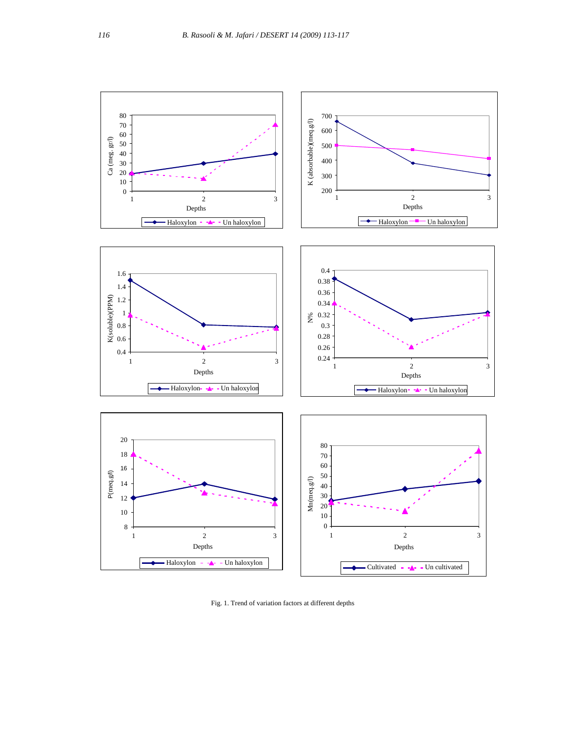

Fig. 1. Trend of variation factors at different depths